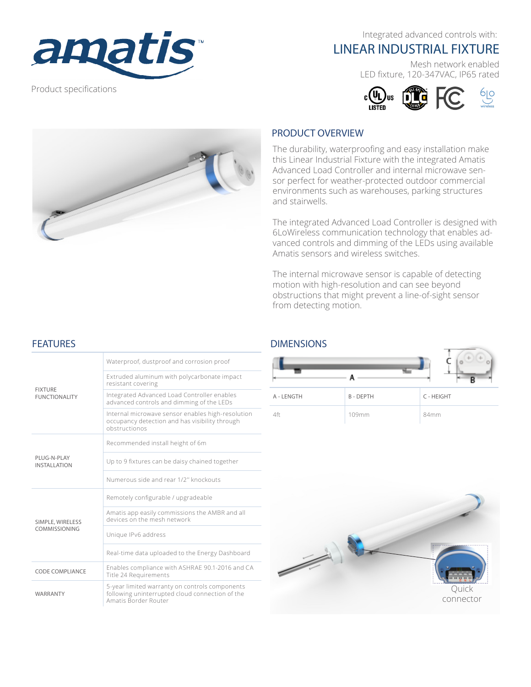

Product specifications

Integrated advanced controls with:

# LINEAR INDUSTRIAL FIXTURE

Mesh network enabled LED fixture, 120-347VAC, IP65 rated





#### PRODUCT OVERVIEW

The durability, waterproofing and easy installation make this Linear Industrial Fixture with the integrated Amatis Advanced Load Controller and internal microwave sensor perfect for weather-protected outdoor commercial environments such as warehouses, parking structures and stairwells.

The integrated Advanced Load Controller is designed with 6LoWireless communication technology that enables advanced controls and dimming of the LEDs using available Amatis sensors and wireless switches.

The internal microwave sensor is capable of detecting motion with high-resolution and can see beyond obstructions that might prevent a line-of-sight sensor from detecting motion.

### **FEATURES**

| <b>FIXTURE</b><br><b>FUNCTIONALITY</b> | Waterproof, dustproof and corrosion proof                                                                                 |
|----------------------------------------|---------------------------------------------------------------------------------------------------------------------------|
|                                        | Extruded aluminum with polycarbonate impact<br>resistant covering                                                         |
|                                        | Integrated Advanced Load Controller enables<br>advanced controls and dimming of the LEDs                                  |
|                                        | Internal microwave sensor enables high-resolution<br>occupancy detection and has visibility through<br>obstructionos      |
| PLUG-N-PLAY<br><b>INSTALLATION</b>     | Recommended install height of 6m                                                                                          |
|                                        | Up to 9 fixtures can be daisy chained together                                                                            |
|                                        | Numerous side and rear 1/2" knockouts                                                                                     |
| SIMPLE, WIRELESS<br>COMMISSIONING      | Remotely configurable / upgradeable                                                                                       |
|                                        | Amatis app easily commissions the AMBR and all<br>devices on the mesh network                                             |
|                                        | Unique IPv6 address                                                                                                       |
|                                        | Real-time data uploaded to the Energy Dashboard                                                                           |
| CODE COMPLIANCE                        | Enables compliance with ASHRAE 90.1-2016 and CA<br>Title 24 Requirements                                                  |
| WARRANTY                               | 5-year limited warranty on controls components<br>following uninterrupted cloud connection of the<br>Amatis Border Router |

#### DIMENSIONS

|            |                | <b>Sides</b><br>alar<br><b>In</b><br>R |
|------------|----------------|----------------------------------------|
| A - LENGTH | <b>B-DEPTH</b> | C - HEIGHT                             |
| 4ft        | 109mm          | 84mm                                   |